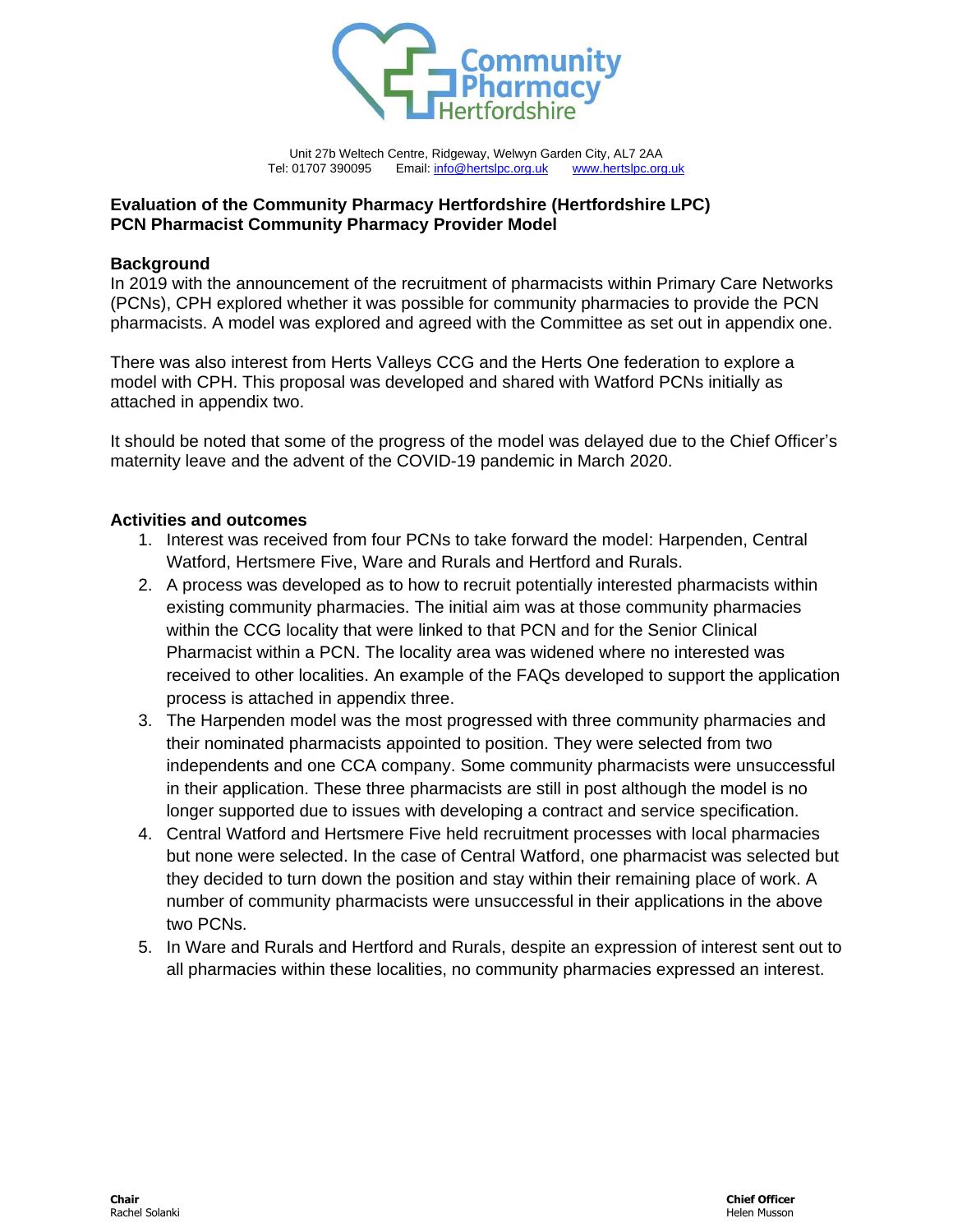

Unit 27b Weltech Centre, Ridgeway, Welwyn Garden City, AL7 2AA Tel: 01707 390095 Email: [info@hertslpc.org.uk](mailto:mail@hertslpc.org.uk) [www.hertslpc.org.uk](http://www.hertslpc.org.uk/)

## **Evaluation of the Community Pharmacy Hertfordshire (Hertfordshire LPC) PCN Pharmacist Community Pharmacy Provider Model**

#### **Background**

In 2019 with the announcement of the recruitment of pharmacists within Primary Care Networks (PCNs), CPH explored whether it was possible for community pharmacies to provide the PCN pharmacists. A model was explored and agreed with the Committee as set out in appendix one.

There was also interest from Herts Valleys CCG and the Herts One federation to explore a model with CPH. This proposal was developed and shared with Watford PCNs initially as attached in appendix two.

It should be noted that some of the progress of the model was delayed due to the Chief Officer's maternity leave and the advent of the COVID-19 pandemic in March 2020.

### **Activities and outcomes**

- 1. Interest was received from four PCNs to take forward the model: Harpenden, Central Watford, Hertsmere Five, Ware and Rurals and Hertford and Rurals.
- 2. A process was developed as to how to recruit potentially interested pharmacists within existing community pharmacies. The initial aim was at those community pharmacies within the CCG locality that were linked to that PCN and for the Senior Clinical Pharmacist within a PCN. The locality area was widened where no interested was received to other localities. An example of the FAQs developed to support the application process is attached in appendix three.
- 3. The Harpenden model was the most progressed with three community pharmacies and their nominated pharmacists appointed to position. They were selected from two independents and one CCA company. Some community pharmacists were unsuccessful in their application. These three pharmacists are still in post although the model is no longer supported due to issues with developing a contract and service specification.
- 4. Central Watford and Hertsmere Five held recruitment processes with local pharmacies but none were selected. In the case of Central Watford, one pharmacist was selected but they decided to turn down the position and stay within their remaining place of work. A number of community pharmacists were unsuccessful in their applications in the above two PCNs.
- 5. In Ware and Rurals and Hertford and Rurals, despite an expression of interest sent out to all pharmacies within these localities, no community pharmacies expressed an interest.